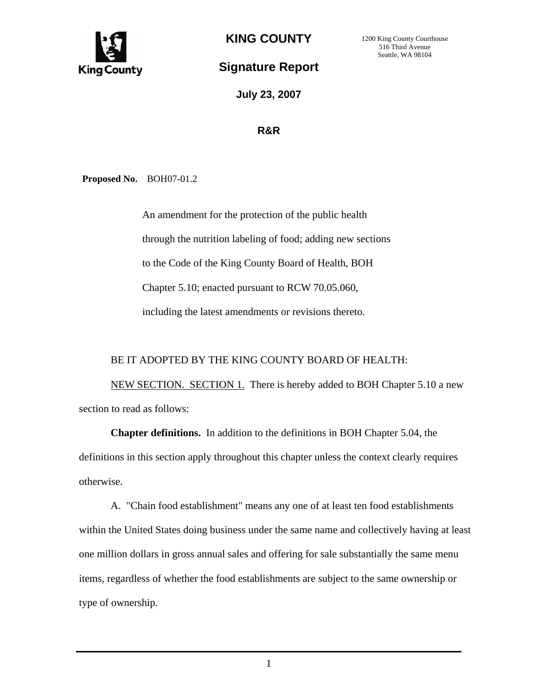

**KING COUNTY** 

## **Signature Report**

**July 23, 2007**

## **R&R**

**Proposed No.** BOH07-01.2

An amendment for the protection of the public health through the nutrition labeling of food; adding new sections to the Code of the King County Board of Health, BOH Chapter 5.10; enacted pursuant to RCW 70.05.060, including the latest amendments or revisions thereto.

## BE IT ADOPTED BY THE KING COUNTY BOARD OF HEALTH:

 NEW SECTION. SECTION 1. There is hereby added to BOH Chapter 5.10 a new section to read as follows:

**Chapter definitions.** In addition to the definitions in BOH Chapter 5.04, the definitions in this section apply throughout this chapter unless the context clearly requires otherwise.

 A. "Chain food establishment" means any one of at least ten food establishments within the United States doing business under the same name and collectively having at least one million dollars in gross annual sales and offering for sale substantially the same menu items, regardless of whether the food establishments are subject to the same ownership or type of ownership.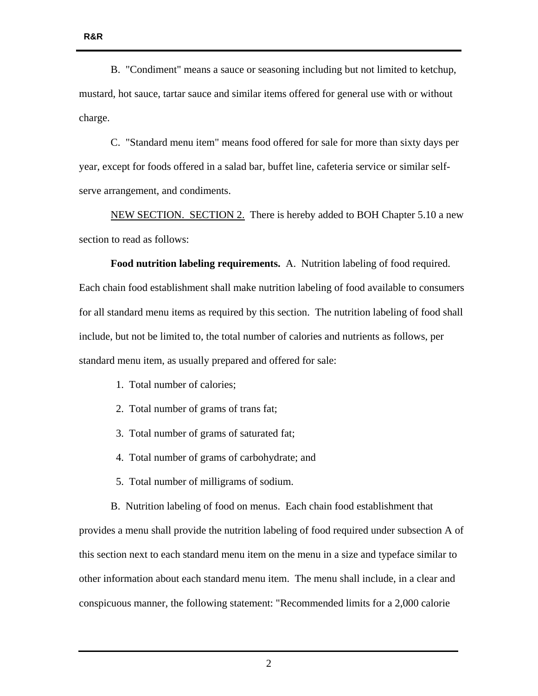B. "Condiment" means a sauce or seasoning including but not limited to ketchup, mustard, hot sauce, tartar sauce and similar items offered for general use with or without charge.

 C. "Standard menu item" means food offered for sale for more than sixty days per year, except for foods offered in a salad bar, buffet line, cafeteria service or similar selfserve arrangement, and condiments.

 NEW SECTION. SECTION 2. There is hereby added to BOH Chapter 5.10 a new section to read as follows:

**Food nutrition labeling requirements.** A. Nutrition labeling of food required. Each chain food establishment shall make nutrition labeling of food available to consumers for all standard menu items as required by this section. The nutrition labeling of food shall include, but not be limited to, the total number of calories and nutrients as follows, per standard menu item, as usually prepared and offered for sale:

- 1. Total number of calories;
- 2. Total number of grams of trans fat;
- 3. Total number of grams of saturated fat;
- 4. Total number of grams of carbohydrate; and
- 5. Total number of milligrams of sodium.

 B. Nutrition labeling of food on menus. Each chain food establishment that provides a menu shall provide the nutrition labeling of food required under subsection A of this section next to each standard menu item on the menu in a size and typeface similar to other information about each standard menu item. The menu shall include, in a clear and conspicuous manner, the following statement: "Recommended limits for a 2,000 calorie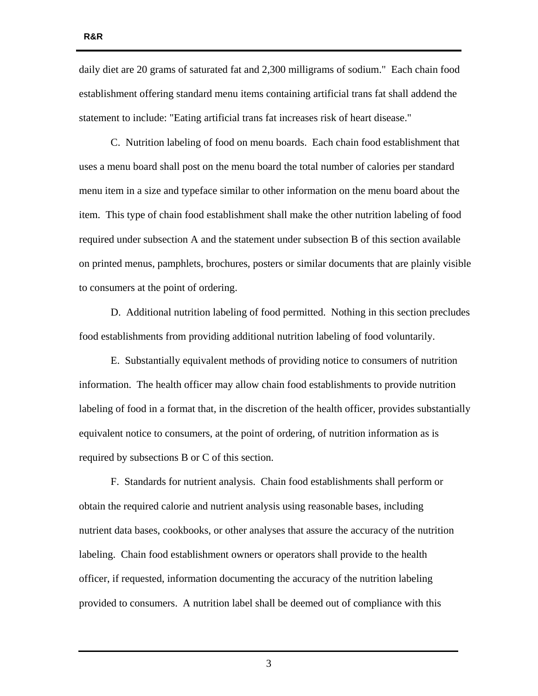daily diet are 20 grams of saturated fat and 2,300 milligrams of sodium." Each chain food establishment offering standard menu items containing artificial trans fat shall addend the statement to include: "Eating artificial trans fat increases risk of heart disease."

C. Nutrition labeling of food on menu boards. Each chain food establishment that uses a menu board shall post on the menu board the total number of calories per standard menu item in a size and typeface similar to other information on the menu board about the item. This type of chain food establishment shall make the other nutrition labeling of food required under subsection A and the statement under subsection B of this section available on printed menus, pamphlets, brochures, posters or similar documents that are plainly visible to consumers at the point of ordering.

 D. Additional nutrition labeling of food permitted. Nothing in this section precludes food establishments from providing additional nutrition labeling of food voluntarily.

 E. Substantially equivalent methods of providing notice to consumers of nutrition information. The health officer may allow chain food establishments to provide nutrition labeling of food in a format that, in the discretion of the health officer, provides substantially equivalent notice to consumers, at the point of ordering, of nutrition information as is required by subsections B or C of this section.

 F. Standards for nutrient analysis. Chain food establishments shall perform or obtain the required calorie and nutrient analysis using reasonable bases, including nutrient data bases, cookbooks, or other analyses that assure the accuracy of the nutrition labeling. Chain food establishment owners or operators shall provide to the health officer, if requested, information documenting the accuracy of the nutrition labeling provided to consumers. A nutrition label shall be deemed out of compliance with this

**R&R** 

3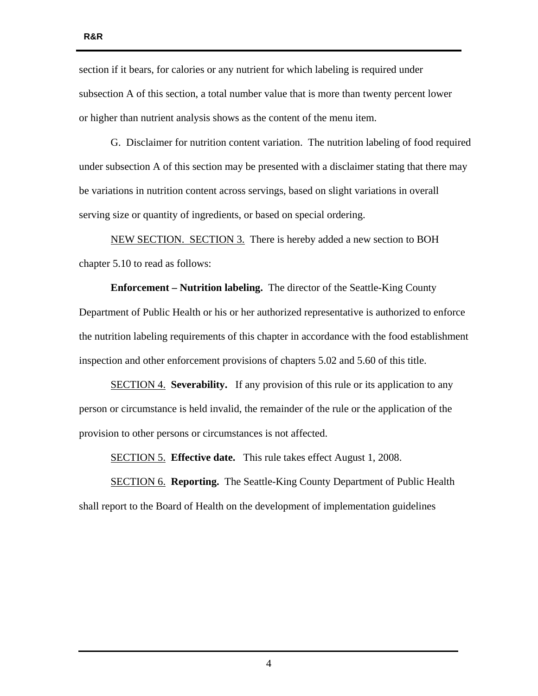**R&R** 

section if it bears, for calories or any nutrient for which labeling is required under subsection A of this section, a total number value that is more than twenty percent lower or higher than nutrient analysis shows as the content of the menu item.

 G. Disclaimer for nutrition content variation. The nutrition labeling of food required under subsection A of this section may be presented with a disclaimer stating that there may be variations in nutrition content across servings, based on slight variations in overall serving size or quantity of ingredients, or based on special ordering.

 NEW SECTION. SECTION 3. There is hereby added a new section to BOH chapter 5.10 to read as follows:

 **Enforcement – Nutrition labeling.** The director of the Seattle-King County Department of Public Health or his or her authorized representative is authorized to enforce the nutrition labeling requirements of this chapter in accordance with the food establishment inspection and other enforcement provisions of chapters 5.02 and 5.60 of this title.

 SECTION 4. **Severability.** If any provision of this rule or its application to any person or circumstance is held invalid, the remainder of the rule or the application of the provision to other persons or circumstances is not affected.

SECTION 5. **Effective date.** This rule takes effect August 1, 2008.

 SECTION 6. **Reporting.** The Seattle-King County Department of Public Health shall report to the Board of Health on the development of implementation guidelines

4